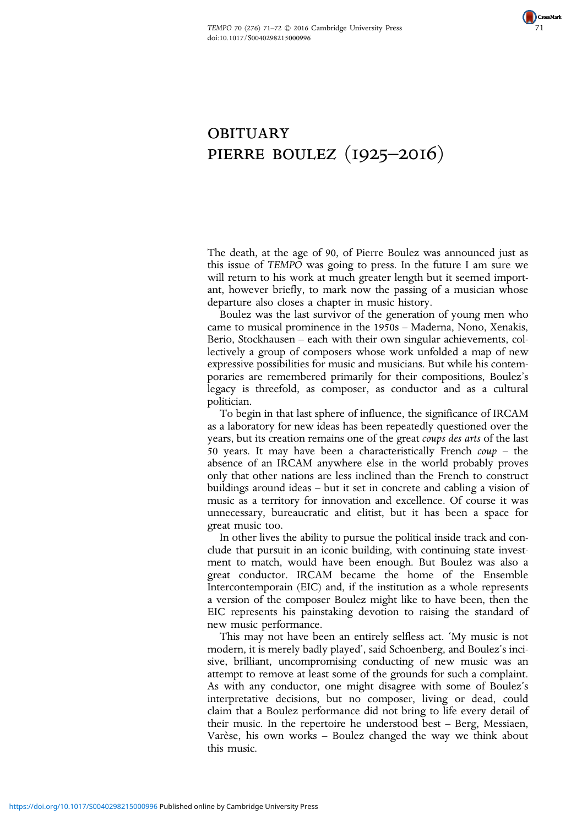

## **OBITUARY** pierre boulez (1925–2016)

The death, at the age of 90, of Pierre Boulez was announced just as this issue of TEMPO was going to press. In the future I am sure we will return to his work at much greater length but it seemed important, however briefly, to mark now the passing of a musician whose departure also closes a chapter in music history.

Boulez was the last survivor of the generation of young men who came to musical prominence in the 1950s – Maderna, Nono, Xenakis, Berio, Stockhausen – each with their own singular achievements, collectively a group of composers whose work unfolded a map of new expressive possibilities for music and musicians. But while his contemporaries are remembered primarily for their compositions, Boulez's legacy is threefold, as composer, as conductor and as a cultural politician.

To begin in that last sphere of influence, the significance of IRCAM as a laboratory for new ideas has been repeatedly questioned over the years, but its creation remains one of the great coups des arts of the last 50 years. It may have been a characteristically French  $coup - the$ absence of an IRCAM anywhere else in the world probably proves only that other nations are less inclined than the French to construct buildings around ideas – but it set in concrete and cabling a vision of music as a territory for innovation and excellence. Of course it was unnecessary, bureaucratic and elitist, but it has been a space for great music too.

In other lives the ability to pursue the political inside track and conclude that pursuit in an iconic building, with continuing state investment to match, would have been enough. But Boulez was also a great conductor. IRCAM became the home of the Ensemble Intercontemporain (EIC) and, if the institution as a whole represents a version of the composer Boulez might like to have been, then the EIC represents his painstaking devotion to raising the standard of new music performance.

This may not have been an entirely selfless act. 'My music is not modern, it is merely badly played', said Schoenberg, and Boulez's incisive, brilliant, uncompromising conducting of new music was an attempt to remove at least some of the grounds for such a complaint. As with any conductor, one might disagree with some of Boulez's interpretative decisions, but no composer, living or dead, could claim that a Boulez performance did not bring to life every detail of their music. In the repertoire he understood best – Berg, Messiaen, Varèse, his own works – Boulez changed the way we think about this music.